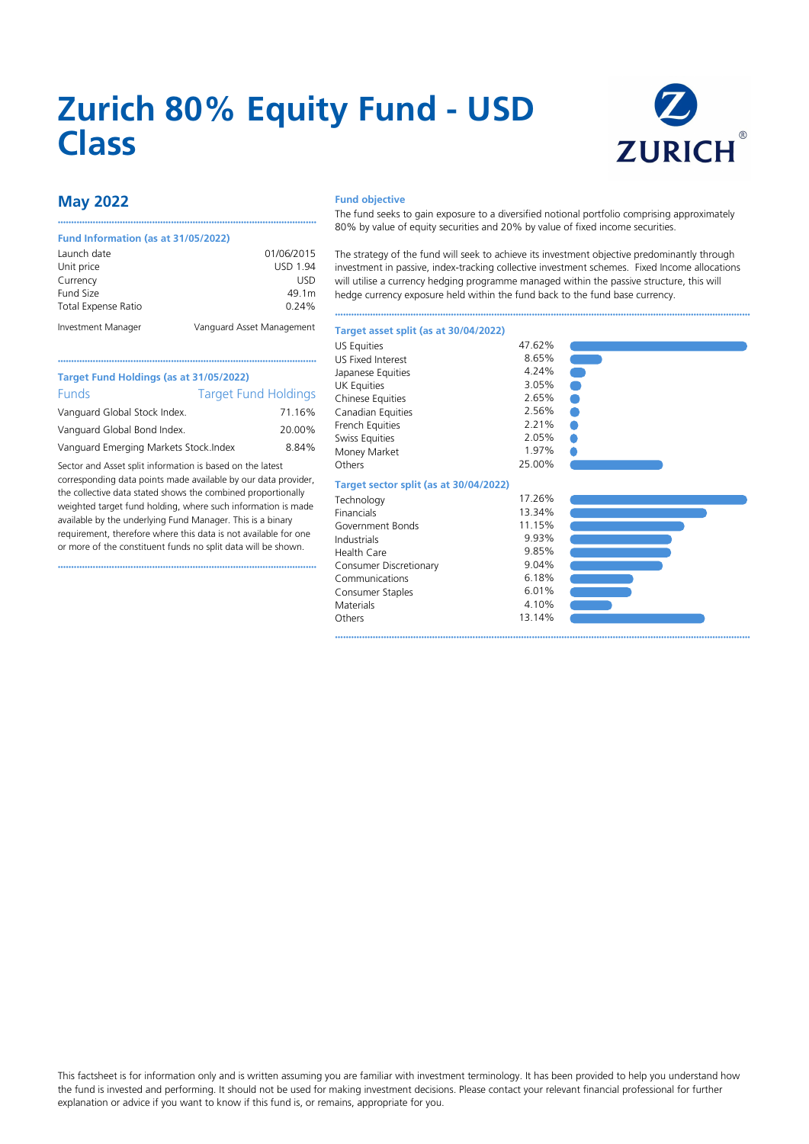# **Zurich 80% Equity Fund - USD Class**



## **May 2022**

#### **Fund Information (as at 31/05/2022)**

| Launch date                | 01/06/2015                |
|----------------------------|---------------------------|
| Unit price                 | <b>USD 1.94</b>           |
| Currency                   | USD                       |
| Fund Size                  | 49.1m                     |
| <b>Total Expense Ratio</b> | 0.24%                     |
| Investment Manager         | Vanguard Asset Management |

••••••••••••••••••••••••••••••••••••••••••••••••••••••••••••••••••••••••••••••••••••••••••••••••

#### **Fund objective**

Japanese Equities

The fund seeks to gain exposure to a diversified notional portfolio comprising approximately 80% by value of equity securities and 20% by value of fixed income securities.

The strategy of the fund will seek to achieve its investment objective predominantly through investment in passive, index-tracking collective investment schemes. Fixed Income allocations will utilise a currency hedging programme managed within the passive structure, this will hedge currency exposure held within the fund back to the fund base currency.

••••••••••••••••••••••••••••••••••••••••••••••••••••••••••••••••••••••••••••••••••••••••••••••••••••••••••••••••••••••••••••••••••••••••••••••••••••••••••

 $3.05\%$ 

2.56%  $2.21%$ 

## **Target asset split (as at 30/04/2022)** US Equities 47.62%<br>
US Fixed Interest 8.65%

US Fixed Interest 8.65%<br>
Iananese Fourties 4.24%

| Target Fund Holdings (as at 31/05/2022) |                             |  |  |  |  |  |
|-----------------------------------------|-----------------------------|--|--|--|--|--|
| <b>Funds</b>                            | <b>Target Fund Holdings</b> |  |  |  |  |  |
| Vanguard Global Stock Index.            | 71.16%                      |  |  |  |  |  |
| Vanguard Global Bond Index.             | 20.00%                      |  |  |  |  |  |
| Vanguard Emerging Markets Stock. Index  | 8.84%                       |  |  |  |  |  |

Sector and Asset split information is based on the latest corresponding data points made available by our data provider, the collective data stated shows the combined proportionally weighted target fund holding, where such information is made available by the underlying Fund Manager. This is a binary requirement, therefore where this data is not available for one or more of the constituent funds no split data will be shown.

••••••••••••••••••••••••••••••••••••••••••••••••••••••••••••••••••••••••••••••••••••••••••••••••

| UK Equities                            | 3.05%  |
|----------------------------------------|--------|
| <b>Chinese Equities</b>                | 2.65%  |
| Canadian Equities                      | 2.56%  |
| French Equities                        | 2.21%  |
| Swiss Equities                         | 2.05%  |
| Money Market                           | 1.97%  |
| Others                                 | 25.00% |
| Target sector split (as at 30/04/2022) |        |
| Technology                             | 17.26% |
| Financials                             | 13.34% |
| Government Bonds                       | 11.15% |
| Industrials                            | 9.93%  |
| <b>Health Care</b>                     | 9.85%  |
| Consumer Discretionary                 | 9.04%  |
| Communications                         | 6.18%  |
| Consumer Staples                       | 6.01%  |
| Materials                              | 4.10%  |
| Others                                 | 13.14% |